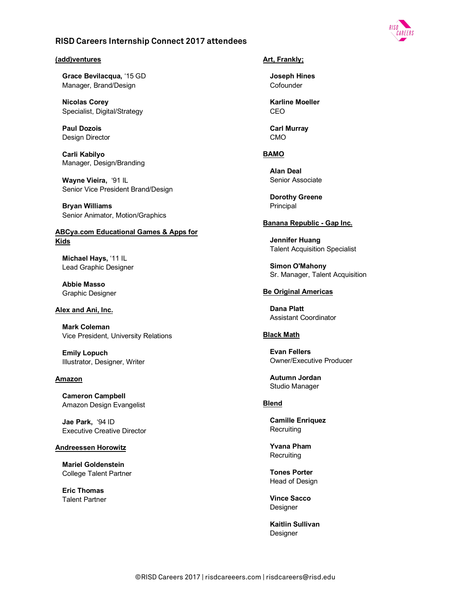## **(add)ventures**

**Grace Bevilacqua,** '15 GD Manager, Brand/Design

**Nicolas Corey**  Specialist, Digital/Strategy

**Paul Dozois**  Design Director

**Carli Kabilyo**  Manager, Design/Branding

**Wayne Vieira,** '91 IL Senior Vice President Brand/Design

**Bryan Williams**  Senior Animator, Motion/Graphics

# **ABCya.com Educational Games & Apps for Kids**

**Michael Hays,** '11 IL Lead Graphic Designer

**Abbie Masso**  Graphic Designer

#### **Alex and Ani, Inc.**

**Mark Coleman**  Vice President, University Relations

**Emily Lopuch**  Illustrator, Designer, Writer

#### **Amazon**

**Cameron Campbell**  Amazon Design Evangelist

**Jae Park,** '94 ID Executive Creative Director

## **Andreessen Horowitz**

**Mariel Goldenstein**  College Talent Partner

**Eric Thomas**  Talent Partner

# **Art, Frankly;**

**Joseph Hines Cofounder** 

**Karline Moeller**  CEO

**Carl Murray**  CMO

# **BAMO**

**Alan Deal**  Senior Associate

**Dorothy Greene**  Principal

## **Banana Republic - Gap Inc.**

**Jennifer Huang**  Talent Acquisition Specialist

**Simon O'Mahony**  Sr. Manager, Talent Acquisition

#### **Be Original Americas**

**Dana Platt** Assistant Coordinator

## **Black Math**

**Evan Fellers**  Owner/Executive Producer

**Autumn Jordan**  Studio Manager

# **Blend**

**Camille Enriquez Recruiting** 

**Yvana Pham Recruiting** 

**Tones Porter**  Head of Design

**Vince Sacco**  Designer

**Kaitlin Sullivan**  Designer

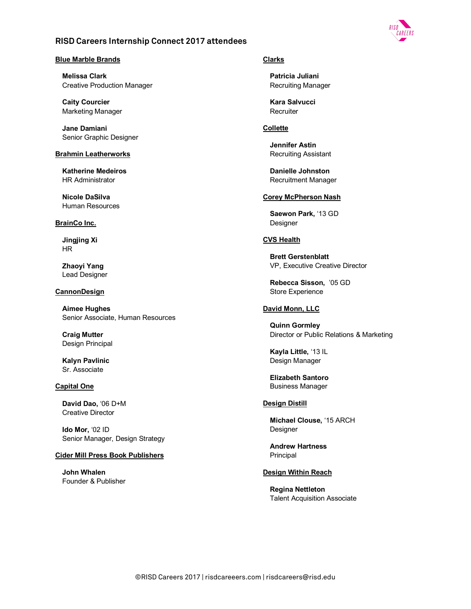

# **Blue Marble Brands**

**Melissa Clark**  Creative Production Manager

**Caity Courcier**  Marketing Manager

**Jane Damiani**  Senior Graphic Designer

## **Brahmin Leatherworks**

**Katherine Medeiros**  HR Administrator

**Nicole DaSilva**  Human Resources

## **BrainCo Inc.**

**Jingjing Xi**  HR

**Zhaoyi Yang**  Lead Designer

## **CannonDesign**

**Aimee Hughes**  Senior Associate, Human Resources

**Craig Mutter**  Design Principal

**Kalyn Pavlinic**  Sr. Associate

## **Capital One**

**David Dao,** '06 D+M Creative Director

**Ido Mor,** '02 ID Senior Manager, Design Strategy

## **Cider Mill Press Book Publishers**

**John Whalen**  Founder & Publisher

# **Clarks**

**Patricia Juliani**  Recruiting Manager

**Kara Salvucci Recruiter** 

# **Collette**

**Jennifer Astin**  Recruiting Assistant

**Danielle Johnston**  Recruitment Manager

# **Corey McPherson Nash**

**Saewon Park,** '13 GD Designer

# **CVS Health**

**Brett Gerstenblatt**  VP, Executive Creative Director

**Rebecca Sisson,** '05 GD Store Experience

# **David Monn, LLC**

**Quinn Gormley**  Director or Public Relations & Marketing

**Kayla Little,** '13 IL Design Manager

**Elizabeth Santoro**  Business Manager

# **Design Distill**

**Michael Clouse,** '15 ARCH Designer

**Andrew Hartness**  Principal

## **Design Within Reach**

**Regina Nettleton**  Talent Acquisition Associate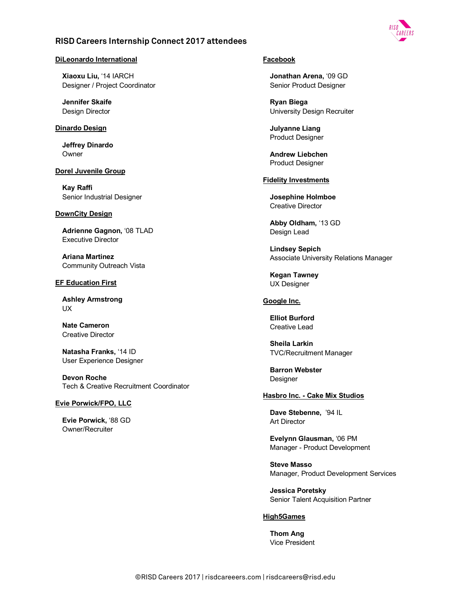

## **DiLeonardo International**

**Xiaoxu Liu,** '14 IARCH Designer / Project Coordinator

**Jennifer Skaife**  Design Director

## **Dinardo Design**

**Jeffrey Dinardo**  Owner

# **Dorel Juvenile Group**

**Kay Raffi**  Senior Industrial Designer

#### **DownCity Design**

**Adrienne Gagnon,** '08 TLAD Executive Director

**Ariana Martinez**  Community Outreach Vista

### **EF Education First**

**Ashley Armstrong**  UX

**Nate Cameron**  Creative Director

**Natasha Franks,** '14 ID User Experience Designer

**Devon Roche**  Tech & Creative Recruitment Coordinator

#### **Evie Porwick/FPO, LLC**

**Evie Porwick,** '88 GD Owner/Recruiter

# **Facebook**

**Jonathan Arena,** '09 GD Senior Product Designer

**Ryan Biega**  University Design Recruiter

**Julyanne Liang**  Product Designer

**Andrew Liebchen**  Product Designer

#### **Fidelity Investments**

**Josephine Holmboe**  Creative Director

**Abby Oldham,** '13 GD Design Lead

**Lindsey Sepich**  Associate University Relations Manager

**Kegan Tawney**  UX Designer

# **Google Inc.**

**Elliot Burford**  Creative Lead

**Sheila Larkin**  TVC/Recruitment Manager

**Barron Webster Designer** 

## **Hasbro Inc. - Cake Mix Studios**

**Dave Stebenne,** '94 IL Art Director

**Evelynn Glausman,** '06 PM Manager - Product Development

**Steve Masso**  Manager, Product Development Services

**Jessica Poretsky**  Senior Talent Acquisition Partner

## **High5Games**

**Thom Ang**  Vice President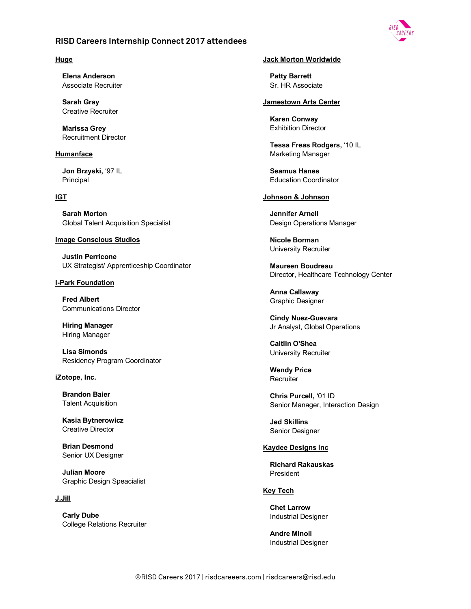

## **Huge**

**Elena Anderson**  Associate Recruiter

**Sarah Gray**  Creative Recruiter

**Marissa Grey**  Recruitment Director

# **Humanface**

**Jon Brzyski,** '97 IL Principal

# **IGT**

**Sarah Morton**  Global Talent Acquisition Specialist

## **Image Conscious Studios**

**Justin Perricone**  UX Strategist/ Apprenticeship Coordinator

## **I-Park Foundation**

**Fred Albert**  Communications Director

**Hiring Manager**  Hiring Manager

**Lisa Simonds**  Residency Program Coordinator

**iZotope, Inc.**

**Brandon Baier**  Talent Acquisition

**Kasia Bytnerowicz**  Creative Director

**Brian Desmond** Senior UX Designer

**Julian Moore**  Graphic Design Speacialist

## **J.Jill**

**Carly Dube**  College Relations Recruiter

## **Jack Morton Worldwide**

**Patty Barrett**  Sr. HR Associate

# **Jamestown Arts Center**

**Karen Conway**  Exhibition Director

**Tessa Freas Rodgers,** '10 IL Marketing Manager

**Seamus Hanes**  Education Coordinator

# **Johnson & Johnson**

**Jennifer Arnell**  Design Operations Manager

**Nicole Borman**  University Recruiter

**Maureen Boudreau**  Director, Healthcare Technology Center

**Anna Callaway**  Graphic Designer

**Cindy Nuez-Guevara**  Jr Analyst, Global Operations

**Caitlin O'Shea**  University Recruiter

**Wendy Price Recruiter** 

**Chris Purcell,** '01 ID Senior Manager, Interaction Design

**Jed Skillins**  Senior Designer

## **Kaydee Designs Inc**

**Richard Rakauskas**  President

# **Key Tech**

**Chet Larrow**  Industrial Designer

**Andre Minoli**  Industrial Designer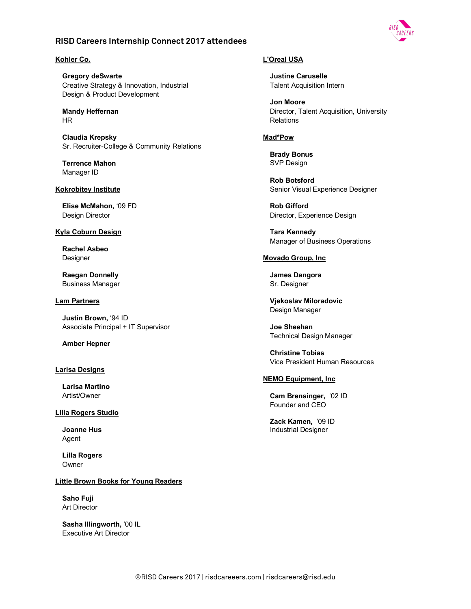

# **Kohler Co.**

**Gregory deSwarte**  Creative Strategy & Innovation, Industrial Design & Product Development

**Mandy Heffernan**  HR

**Claudia Krepsky**  Sr. Recruiter-College & Community Relations

**Terrence Mahon**  Manager ID

## **Kokrobitey Institute**

**Elise McMahon,** '09 FD Design Director

## **Kyla Coburn Design**

**Rachel Asbeo**  Designer

**Raegan Donnelly** Business Manager

## **Lam Partners**

**Justin Brown,** '94 ID Associate Principal + IT Supervisor

**Amber Hepner** 

## **Larisa Designs**

**Larisa Martino** Artist/Owner

## **Lilla Rogers Studio**

**Joanne Hus**  Agent

**Lilla Rogers**  Owner

**Little Brown Books for Young Readers**

**Saho Fuji**  Art Director

**Sasha Illingworth,** '00 IL Executive Art Director

# **L'Oreal USA**

**Justine Caruselle**  Talent Acquisition Intern

**Jon Moore**  Director, Talent Acquisition, University **Relations** 

# **Mad\*Pow**

**Brady Bonus**  SVP Design

**Rob Botsford**  Senior Visual Experience Designer

**Rob Gifford**  Director, Experience Design

**Tara Kennedy**  Manager of Business Operations

# **Movado Group, Inc**

**James Dangora**  Sr. Designer

**Vjekoslav Miloradovic**  Design Manager

**Joe Sheehan**  Technical Design Manager

**Christine Tobias**  Vice President Human Resources

## **NEMO Equipment, Inc**

**Cam Brensinger,** '02 ID Founder and CEO

**Zack Kamen,** '09 ID Industrial Designer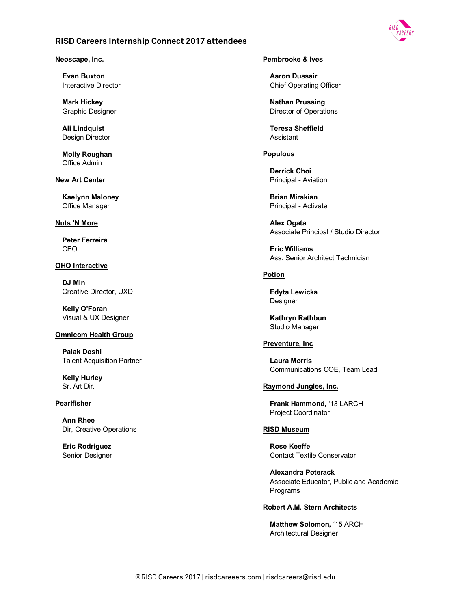# **Neoscape, Inc.**

**Evan Buxton**  Interactive Director

**Mark Hickey**  Graphic Designer

**Ali Lindquist**  Design Director

**Molly Roughan**  Office Admin

# **New Art Center**

**Kaelynn Maloney**  Office Manager

# **Nuts 'N More**

**Peter Ferreira** CEO

# **OHO Interactive**

**DJ Min**  Creative Director, UXD

**Kelly O'Foran**  Visual & UX Designer

# **Omnicom Health Group**

**Palak Doshi**  Talent Acquisition Partner

**Kelly Hurley**  Sr. Art Dir.

## **Pearlfisher**

**Ann Rhee**  Dir, Creative Operations

**Eric Rodriguez**  Senior Designer

# **Pembrooke & Ives**

**Aaron Dussair**  Chief Operating Officer

**Nathan Prussing**  Director of Operations

**Teresa Sheffield**  Assistant

# **Populous**

**Derrick Choi**  Principal - Aviation

**Brian Mirakian**  Principal - Activate

**Alex Ogata**  Associate Principal / Studio Director

**Eric Williams**  Ass. Senior Architect Technician

# **Potion**

**Edyta Lewicka**  Designer

**Kathryn Rathbun** Studio Manager

# **Preventure, Inc**

**Laura Morris**  Communications COE, Team Lead

# **Raymond Jungles, Inc.**

**Frank Hammond,** '13 LARCH Project Coordinator

# **RISD Museum**

**Rose Keeffe**  Contact Textile Conservator

**Alexandra Poterack**  Associate Educator, Public and Academic Programs

## **Robert A.M. Stern Architects**

**Matthew Solomon,** '15 ARCH Architectural Designer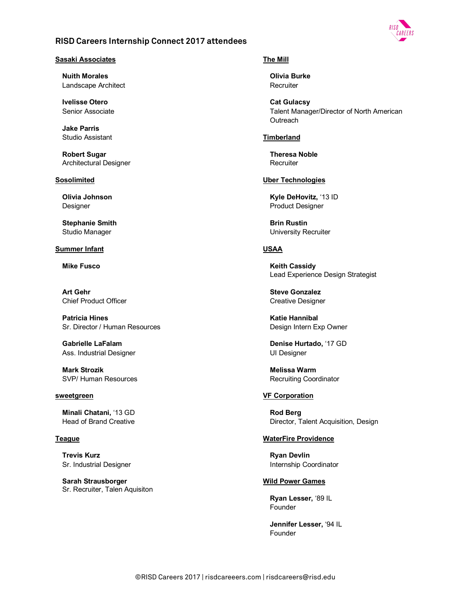

# **Sasaki Associates**

**Nuith Morales**  Landscape Architect

**Ivelisse Otero**  Senior Associate

**Jake Parris**  Studio Assistant

**Robert Sugar**  Architectural Designer

#### **Sosolimited**

**Olivia Johnson**  Designer

**Stephanie Smith**  Studio Manager

### **Summer Infant**

**Mike Fusco** 

**Art Gehr**  Chief Product Officer

**Patricia Hines**  Sr. Director / Human Resources

**Gabrielle LaFalam**  Ass. Industrial Designer

**Mark Strozik**  SVP/ Human Resources

#### **sweetgreen**

**Minali Chatani,** '13 GD Head of Brand Creative

#### **Teague**

**Trevis Kurz**  Sr. Industrial Designer

**Sarah Strausborger** Sr. Recruiter, Talen Aquisiton

# **The Mill**

**Olivia Burke Recruiter** 

**Cat Gulacsy**  Talent Manager/Director of North American **Outreach** 

## **Timberland**

**Theresa Noble Recruiter** 

# **Uber Technologies**

**Kyle DeHovitz,** '13 ID Product Designer

**Brin Rustin**  University Recruiter

# **USAA**

**Keith Cassidy**  Lead Experience Design Strategist

**Steve Gonzalez**  Creative Designer

**Katie Hannibal**  Design Intern Exp Owner

**Denise Hurtado,** '17 GD UI Designer

**Melissa Warm**  Recruiting Coordinator

## **VF Corporation**

**Rod Berg**  Director, Talent Acquisition, Design

#### **WaterFire Providence**

**Ryan Devlin**  Internship Coordinator

# **Wild Power Games**

**Ryan Lesser,** '89 IL Founder

**Jennifer Lesser,** '94 IL Founder